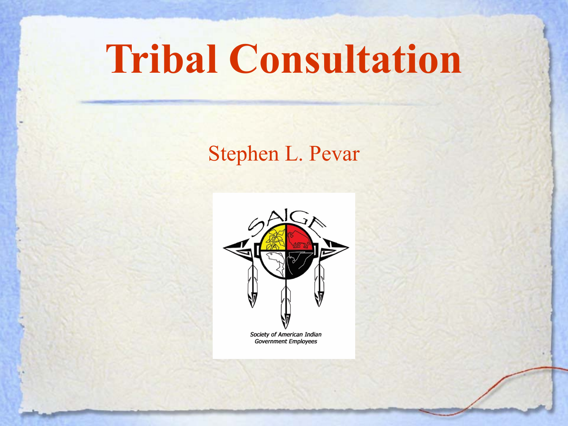# **Tribal Consultation**

#### Stephen L. Pevar

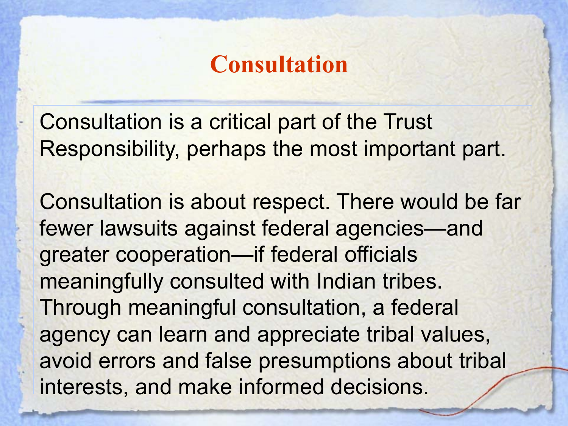### **Consultation**

Consultation is a critical part of the Trust Responsibility, perhaps the most important part.

Consultation is about respect. There would be far fewer lawsuits against federal agencies—and greater cooperation—if federal officials meaningfully consulted with Indian tribes. Through meaningful consultation, a federal agency can learn and appreciate tribal values, avoid errors and false presumptions about tribal interests, and make informed decisions.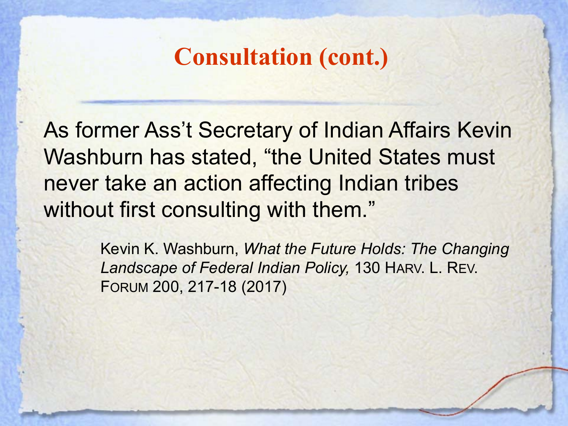As former Ass't Secretary of Indian Affairs Kevin Washburn has stated, "the United States must never take an action affecting Indian tribes without first consulting with them."

> Kevin K. Washburn, *What the Future Holds: The Changing Landscape of Federal Indian Policy,* 130 HARV. L. REV. FORUM 200, 217-18 (2017)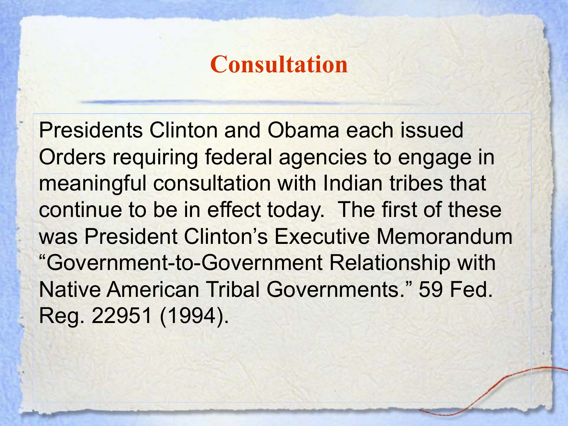### **Consultation**

Presidents Clinton and Obama each issued Orders requiring federal agencies to engage in meaningful consultation with Indian tribes that continue to be in effect today. The first of these was President Clinton's Executive Memorandum "Government-to-Government Relationship with Native American Tribal Governments." 59 Fed. Reg. 22951 (1994).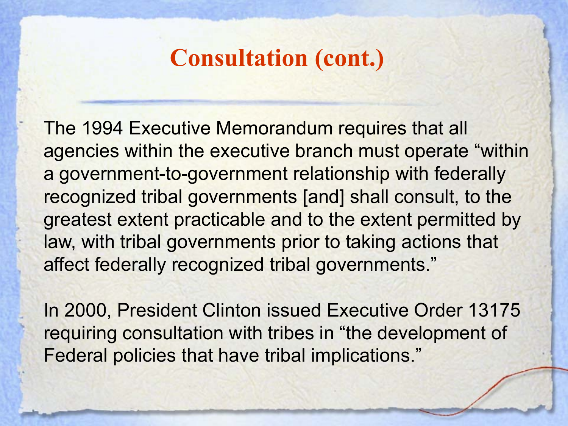The 1994 Executive Memorandum requires that all agencies within the executive branch must operate "within a government-to-government relationship with federally recognized tribal governments [and] shall consult, to the greatest extent practicable and to the extent permitted by law, with tribal governments prior to taking actions that affect federally recognized tribal governments."

In 2000, President Clinton issued Executive Order 13175 requiring consultation with tribes in "the development of Federal policies that have tribal implications."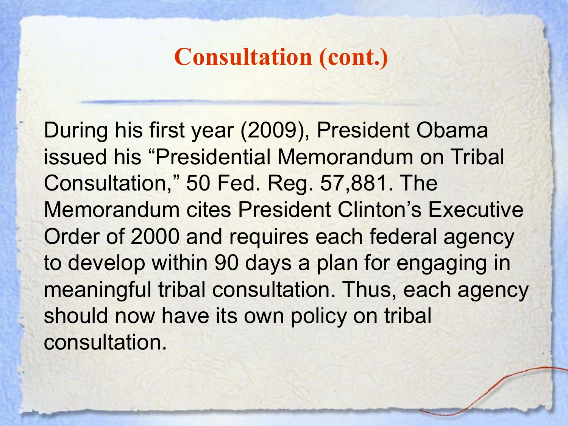During his first year (2009), President Obama issued his "Presidential Memorandum on Tribal Consultation," 50 Fed. Reg. 57,881. The Memorandum cites President Clinton's Executive Order of 2000 and requires each federal agency to develop within 90 days a plan for engaging in meaningful tribal consultation. Thus, each agency should now have its own policy on tribal consultation.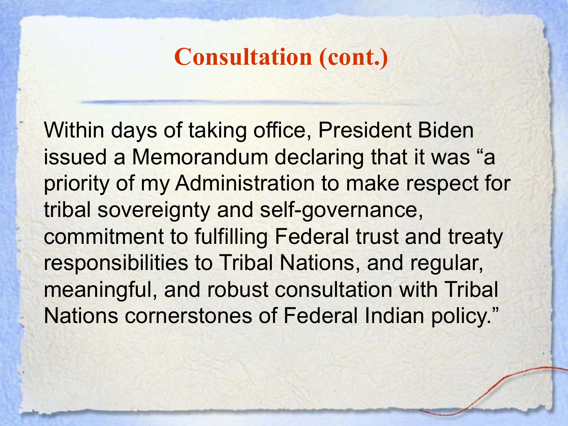Within days of taking office, President Biden issued a Memorandum declaring that it was "a priority of my Administration to make respect for tribal sovereignty and self-governance, commitment to fulfilling Federal trust and treaty responsibilities to Tribal Nations, and regular, meaningful, and robust consultation with Tribal Nations cornerstones of Federal Indian policy."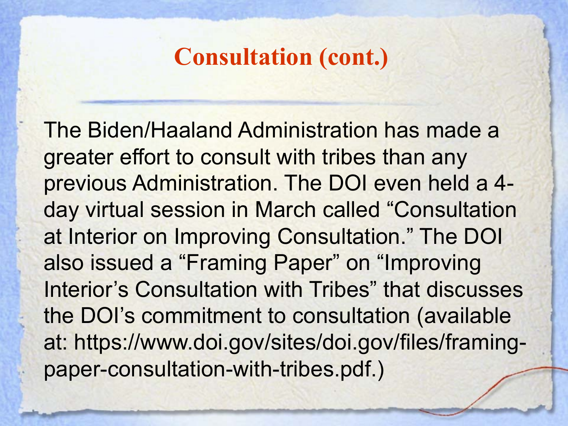The Biden/Haaland Administration has made a greater effort to consult with tribes than any previous Administration. The DOI even held a 4 day virtual session in March called "Consultation at Interior on Improving Consultation." The DOI also issued a "Framing Paper" on "Improving Interior's Consultation with Tribes" that discusses the DOI's commitment to consultation (available at: https://www.doi.gov/sites/doi.gov/files/framingpaper-consultation-with-tribes.pdf.)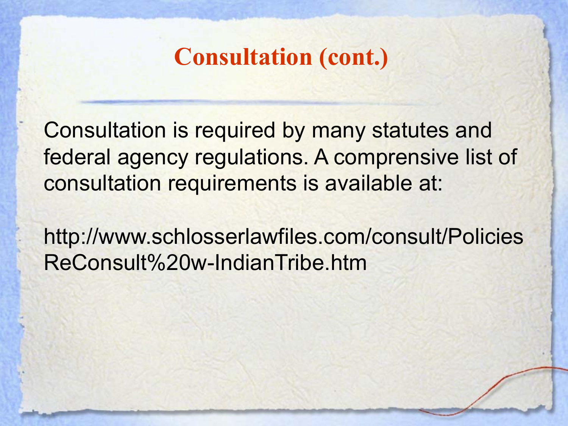Consultation is required by many statutes and federal agency regulations. A comprensive list of consultation requirements is available at:

http://www.schlosserlawfiles.com/consult/Policies ReConsult%20w-IndianTribe.htm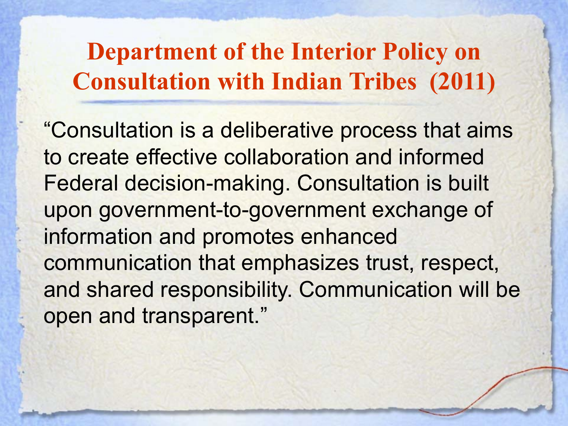**Department of the Interior Policy on Consultation with Indian Tribes (2011)**

"Consultation is a deliberative process that aims to create effective collaboration and informed Federal decision-making. Consultation is built upon government-to-government exchange of information and promotes enhanced communication that emphasizes trust, respect, and shared responsibility. Communication will be open and transparent."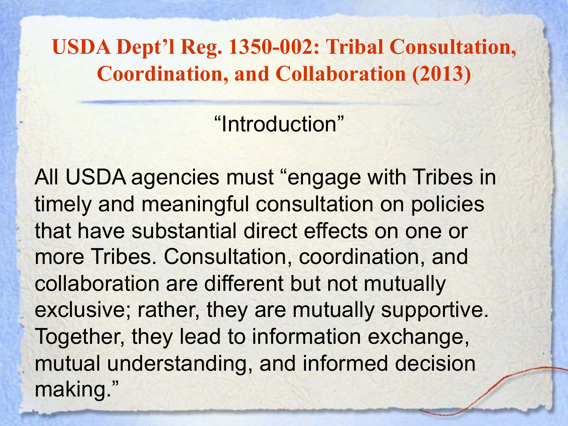**USDA Dept'l Reg. 1350-002: Tribal Consultation, Coordination, and Collaboration (2013)**

"Introduction"

All USDA agencies must "engage with Tribes in timely and meaningful consultation on policies that have substantial direct effects on one or more Tribes. Consultation, coordination, and collaboration are different but not mutually exclusive; rather, they are mutually supportive. Together, they lead to information exchange, mutual understanding, and informed decision making."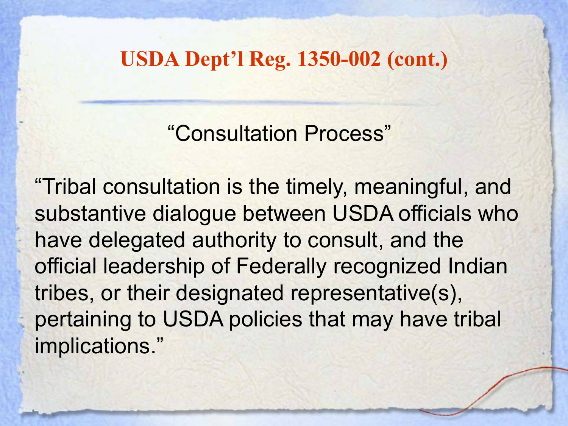**USDA Dept'l Reg. 1350-002 (cont.)**

"Consultation Process"

"Tribal consultation is the timely, meaningful, and substantive dialogue between USDA officials who have delegated authority to consult, and the official leadership of Federally recognized Indian tribes, or their designated representative(s), pertaining to USDA policies that may have tribal implications."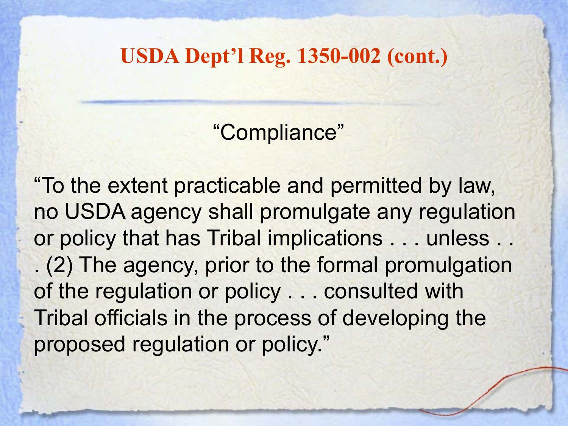**USDA Dept'l Reg. 1350-002 (cont.)**

"Compliance"

"To the extent practicable and permitted by law, no USDA agency shall promulgate any regulation or policy that has Tribal implications . . . unless . . . (2) The agency, prior to the formal promulgation of the regulation or policy . . . consulted with Tribal officials in the process of developing the proposed regulation or policy."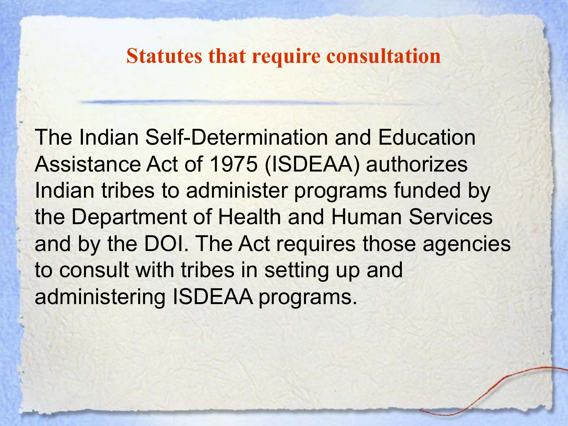The Indian Self-Determination and Education Assistance Act of 1975 (ISDEAA) authorizes Indian tribes to administer programs funded by the Department of Health and Human Services and by the DOI. The Act requires those agencies to consult with tribes in setting up and administering ISDEAA programs.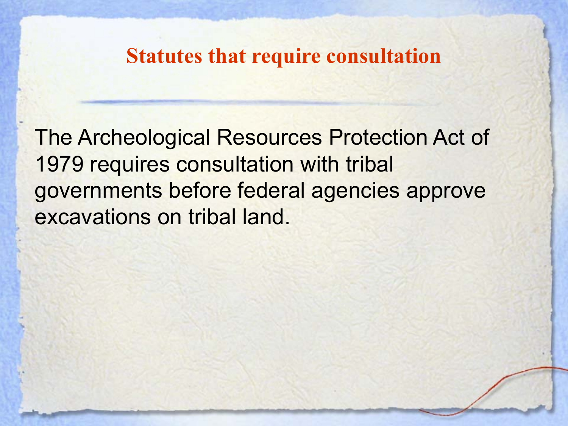The Archeological Resources Protection Act of 1979 requires consultation with tribal governments before federal agencies approve excavations on tribal land.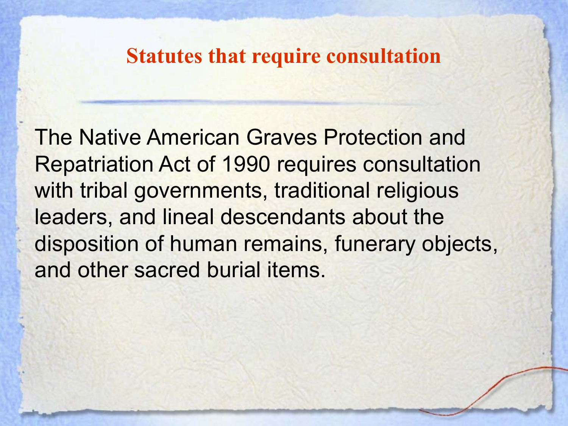The Native American Graves Protection and Repatriation Act of 1990 requires consultation with tribal governments, traditional religious leaders, and lineal descendants about the disposition of human remains, funerary objects, and other sacred burial items.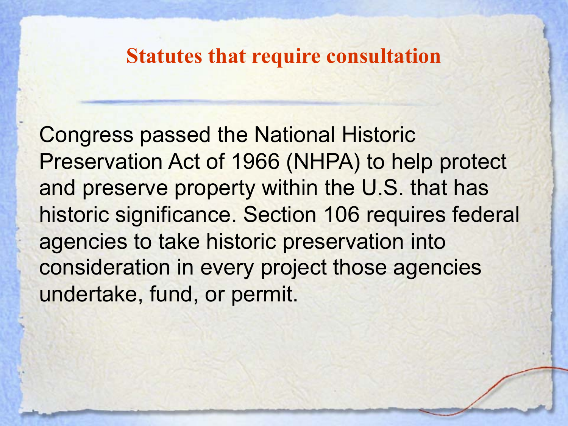Congress passed the National Historic Preservation Act of 1966 (NHPA) to help protect and preserve property within the U.S. that has historic significance. Section 106 requires federal agencies to take historic preservation into consideration in every project those agencies undertake, fund, or permit.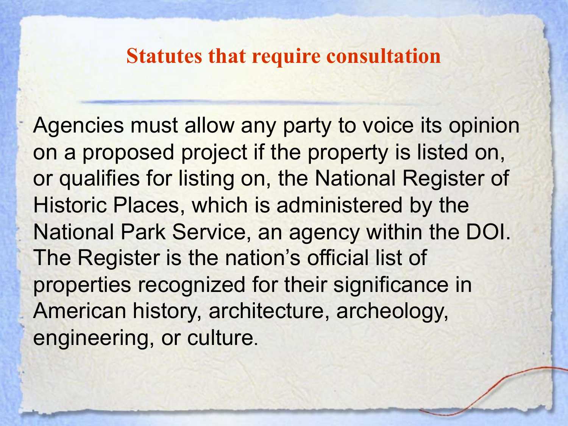Agencies must allow any party to voice its opinion on a proposed project if the property is listed on, or qualifies for listing on, the National Register of Historic Places, which is administered by the National Park Service, an agency within the DOI. The Register is the nation's official list of properties recognized for their significance in American history, architecture, archeology, engineering, or culture.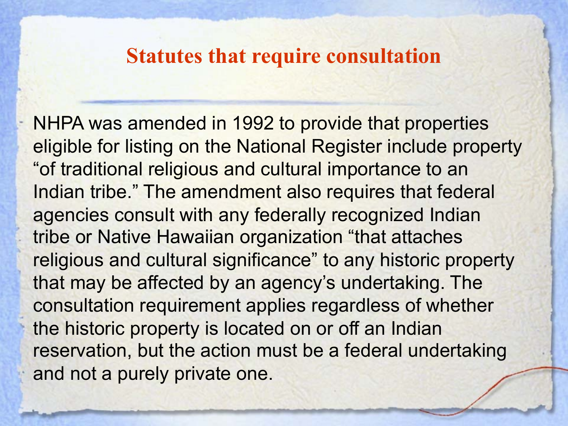NHPA was amended in 1992 to provide that properties eligible for listing on the National Register include property "of traditional religious and cultural importance to an Indian tribe." The amendment also requires that federal agencies consult with any federally recognized Indian tribe or Native Hawaiian organization "that attaches religious and cultural significance" to any historic property that may be affected by an agency's undertaking. The consultation requirement applies regardless of whether the historic property is located on or off an Indian reservation, but the action must be a federal undertaking and not a purely private one.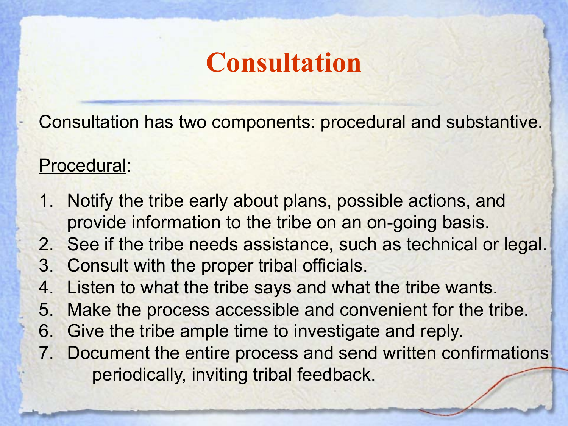# **Consultation**

Consultation has two components: procedural and substantive.

#### Procedural:

- 1. Notify the tribe early about plans, possible actions, and provide information to the tribe on an on-going basis.
- 2. See if the tribe needs assistance, such as technical or legal.
- 3. Consult with the proper tribal officials.
- 4. Listen to what the tribe says and what the tribe wants.
- 5. Make the process accessible and convenient for the tribe.
- 6. Give the tribe ample time to investigate and reply.
- 7. Document the entire process and send written confirmations periodically, inviting tribal feedback.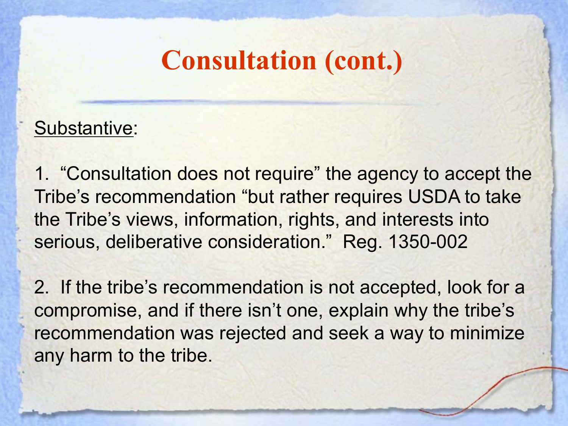#### Substantive:

1. "Consultation does not require" the agency to accept the Tribe's recommendation "but rather requires USDA to take the Tribe's views, information, rights, and interests into serious, deliberative consideration." Reg. 1350-002

2. If the tribe's recommendation is not accepted, look for a compromise, and if there isn't one, explain why the tribe's recommendation was rejected and seek a way to minimize any harm to the tribe.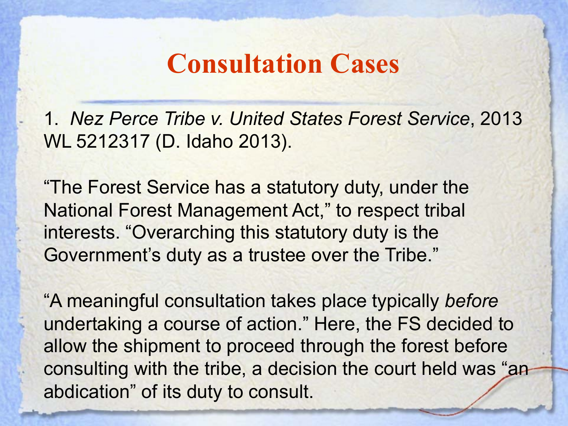1. *Nez Perce Tribe v. United States Forest Service*, 2013 WL 5212317 (D. Idaho 2013).

"The Forest Service has a statutory duty, under the National Forest Management Act," to respect tribal interests. "Overarching this statutory duty is the Government's duty as a trustee over the Tribe."

"A meaningful consultation takes place typically *before* undertaking a course of action." Here, the FS decided to allow the shipment to proceed through the forest before consulting with the tribe, a decision the court held was "an abdication" of its duty to consult.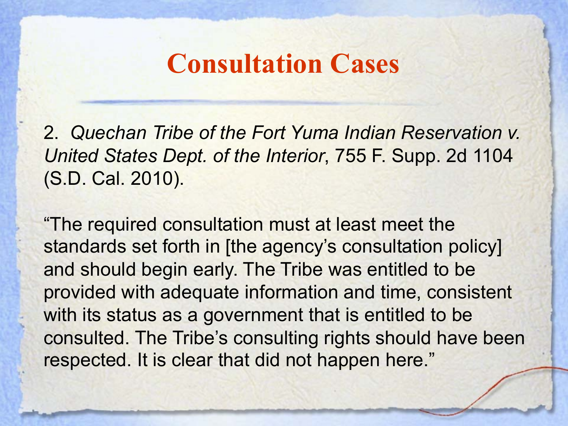2. *Quechan Tribe of the Fort Yuma Indian Reservation v. United States Dept. of the Interior*, 755 F. Supp. 2d 1104 (S.D. Cal. 2010).

"The required consultation must at least meet the standards set forth in [the agency's consultation policy] and should begin early. The Tribe was entitled to be provided with adequate information and time, consistent with its status as a government that is entitled to be consulted. The Tribe's consulting rights should have been respected. It is clear that did not happen here."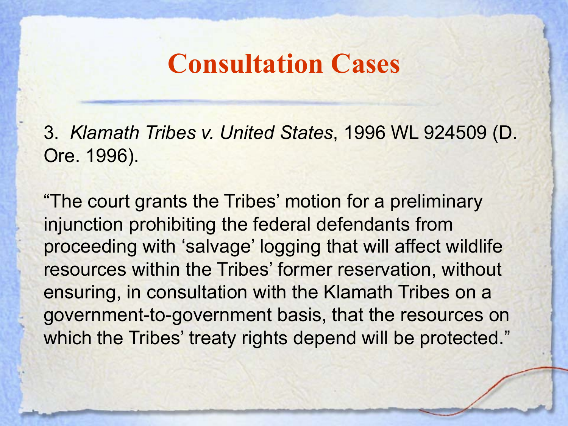3. *Klamath Tribes v. United States*, 1996 WL 924509 (D. Ore. 1996).

"The court grants the Tribes' motion for a preliminary injunction prohibiting the federal defendants from proceeding with 'salvage' logging that will affect wildlife resources within the Tribes' former reservation, without ensuring, in consultation with the Klamath Tribes on a government-to-government basis, that the resources on which the Tribes' treaty rights depend will be protected."